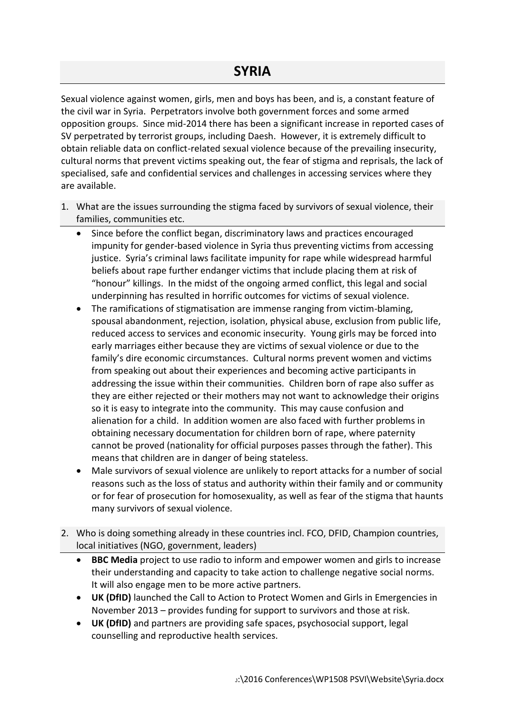Sexual violence against women, girls, men and boys has been, and is, a constant feature of the civil war in Syria. Perpetrators involve both government forces and some armed opposition groups. Since mid-2014 there has been a significant increase in reported cases of SV perpetrated by terrorist groups, including Daesh. However, it is extremely difficult to obtain reliable data on conflict-related sexual violence because of the prevailing insecurity, cultural norms that prevent victims speaking out, the fear of stigma and reprisals, the lack of specialised, safe and confidential services and challenges in accessing services where they are available.

- 1. What are the issues surrounding the stigma faced by survivors of sexual violence, their families, communities etc.
	- Since before the conflict began, discriminatory laws and practices encouraged impunity for gender-based violence in Syria thus preventing victims from accessing justice. Syria's criminal laws facilitate impunity for rape while widespread harmful beliefs about rape further endanger victims that include placing them at risk of "honour" killings. In the midst of the ongoing armed conflict, this legal and social underpinning has resulted in horrific outcomes for victims of sexual violence.
	- The ramifications of stigmatisation are immense ranging from victim-blaming, spousal abandonment, rejection, isolation, physical abuse, exclusion from public life, reduced access to services and economic insecurity. Young girls may be forced into early marriages either because they are victims of sexual violence or due to the family's dire economic circumstances. Cultural norms prevent women and victims from speaking out about their experiences and becoming active participants in addressing the issue within their communities. Children born of rape also suffer as they are either rejected or their mothers may not want to acknowledge their origins so it is easy to integrate into the community. This may cause confusion and alienation for a child. In addition women are also faced with further problems in obtaining necessary documentation for children born of rape, where paternity cannot be proved (nationality for official purposes passes through the father). This means that children are in danger of being stateless.
	- Male survivors of sexual violence are unlikely to report attacks for a number of social reasons such as the loss of status and authority within their family and or community or for fear of prosecution for homosexuality, as well as fear of the stigma that haunts many survivors of sexual violence.
- 2. Who is doing something already in these countries incl. FCO, DFID, Champion countries, local initiatives (NGO, government, leaders)
	- **BBC Media** project to use radio to inform and empower women and girls to increase their understanding and capacity to take action to challenge negative social norms. It will also engage men to be more active partners.
	- **UK (DfID)** launched the Call to Action to Protect Women and Girls in Emergencies in November 2013 – provides funding for support to survivors and those at risk.
	- **UK (DfID)** and partners are providing safe spaces, psychosocial support, legal counselling and reproductive health services.